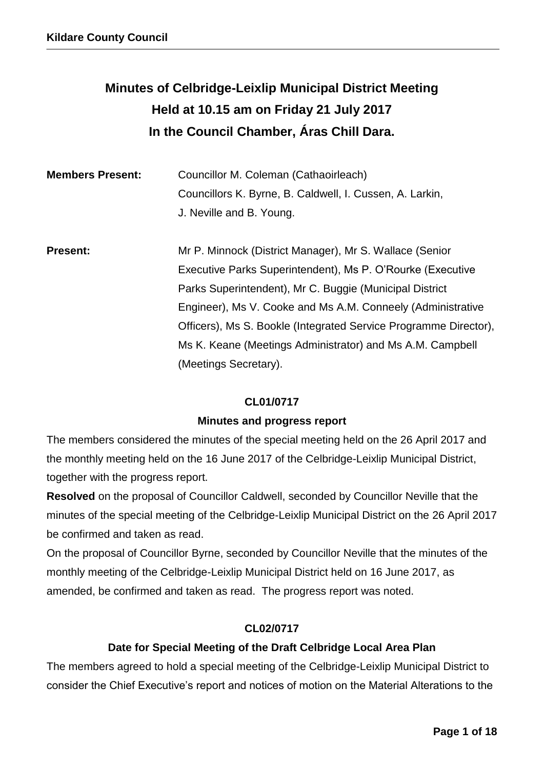# **Minutes of Celbridge-Leixlip Municipal District Meeting Held at 10.15 am on Friday 21 July 2017 In the Council Chamber, Áras Chill Dara.**

| <b>Members Present:</b> | Councillor M. Coleman (Cathaoirleach)<br>Councillors K. Byrne, B. Caldwell, I. Cussen, A. Larkin,<br>J. Neville and B. Young.                                                              |
|-------------------------|--------------------------------------------------------------------------------------------------------------------------------------------------------------------------------------------|
| <b>Present:</b>         | Mr P. Minnock (District Manager), Mr S. Wallace (Senior<br>Executive Parks Superintendent), Ms P. O'Rourke (Executive                                                                      |
|                         | Parks Superintendent), Mr C. Buggie (Municipal District<br>Engineer), Ms V. Cooke and Ms A.M. Conneely (Administrative<br>Officers), Ms S. Bookle (Integrated Service Programme Director), |
|                         | Ms K. Keane (Meetings Administrator) and Ms A.M. Campbell<br>(Meetings Secretary).                                                                                                         |

### **CL01/0717**

### **Minutes and progress report**

The members considered the minutes of the special meeting held on the 26 April 2017 and the monthly meeting held on the 16 June 2017 of the Celbridge-Leixlip Municipal District, together with the progress report.

**Resolved** on the proposal of Councillor Caldwell, seconded by Councillor Neville that the minutes of the special meeting of the Celbridge-Leixlip Municipal District on the 26 April 2017 be confirmed and taken as read.

On the proposal of Councillor Byrne, seconded by Councillor Neville that the minutes of the monthly meeting of the Celbridge-Leixlip Municipal District held on 16 June 2017, as amended, be confirmed and taken as read. The progress report was noted.

### **CL02/0717**

### **Date for Special Meeting of the Draft Celbridge Local Area Plan**

The members agreed to hold a special meeting of the Celbridge-Leixlip Municipal District to consider the Chief Executive's report and notices of motion on the Material Alterations to the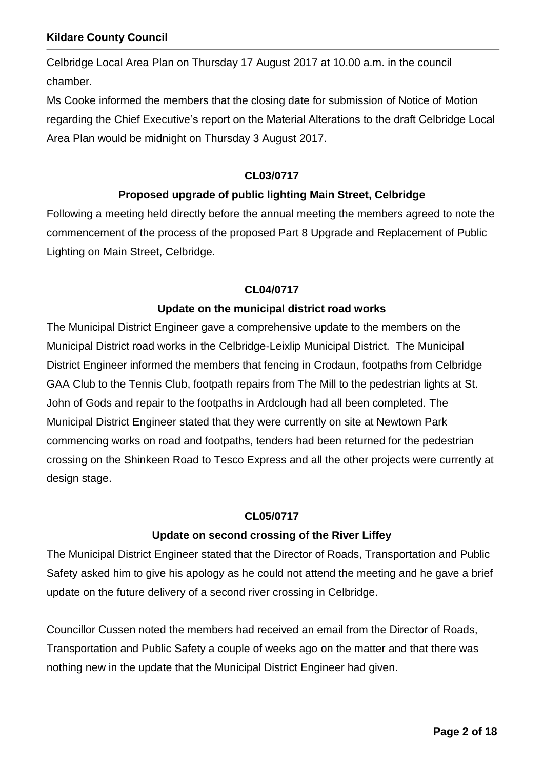Celbridge Local Area Plan on Thursday 17 August 2017 at 10.00 a.m. in the council chamber.

Ms Cooke informed the members that the closing date for submission of Notice of Motion regarding the Chief Executive's report on the Material Alterations to the draft Celbridge Local Area Plan would be midnight on Thursday 3 August 2017.

#### **CL03/0717**

### **Proposed upgrade of public lighting Main Street, Celbridge**

Following a meeting held directly before the annual meeting the members agreed to note the commencement of the process of the proposed Part 8 Upgrade and Replacement of Public Lighting on Main Street, Celbridge.

#### **CL04/0717**

### **Update on the municipal district road works**

The Municipal District Engineer gave a comprehensive update to the members on the Municipal District road works in the Celbridge-Leixlip Municipal District. The Municipal District Engineer informed the members that fencing in Crodaun, footpaths from Celbridge GAA Club to the Tennis Club, footpath repairs from The Mill to the pedestrian lights at St. John of Gods and repair to the footpaths in Ardclough had all been completed. The Municipal District Engineer stated that they were currently on site at Newtown Park commencing works on road and footpaths, tenders had been returned for the pedestrian crossing on the Shinkeen Road to Tesco Express and all the other projects were currently at design stage.

### **CL05/0717**

### **Update on second crossing of the River Liffey**

The Municipal District Engineer stated that the Director of Roads, Transportation and Public Safety asked him to give his apology as he could not attend the meeting and he gave a brief update on the future delivery of a second river crossing in Celbridge.

Councillor Cussen noted the members had received an email from the Director of Roads, Transportation and Public Safety a couple of weeks ago on the matter and that there was nothing new in the update that the Municipal District Engineer had given.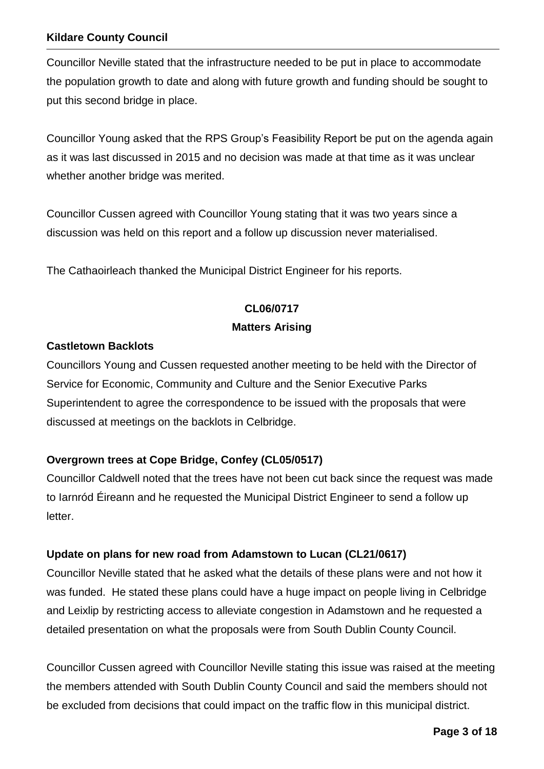Councillor Neville stated that the infrastructure needed to be put in place to accommodate the population growth to date and along with future growth and funding should be sought to put this second bridge in place.

Councillor Young asked that the RPS Group's Feasibility Report be put on the agenda again as it was last discussed in 2015 and no decision was made at that time as it was unclear whether another bridge was merited.

Councillor Cussen agreed with Councillor Young stating that it was two years since a discussion was held on this report and a follow up discussion never materialised.

The Cathaoirleach thanked the Municipal District Engineer for his reports.

## **CL06/0717**

### **Matters Arising**

### **Castletown Backlots**

Councillors Young and Cussen requested another meeting to be held with the Director of Service for Economic, Community and Culture and the Senior Executive Parks Superintendent to agree the correspondence to be issued with the proposals that were discussed at meetings on the backlots in Celbridge.

### **Overgrown trees at Cope Bridge, Confey (CL05/0517)**

Councillor Caldwell noted that the trees have not been cut back since the request was made to Iarnród Éireann and he requested the Municipal District Engineer to send a follow up letter.

### **Update on plans for new road from Adamstown to Lucan (CL21/0617)**

Councillor Neville stated that he asked what the details of these plans were and not how it was funded. He stated these plans could have a huge impact on people living in Celbridge and Leixlip by restricting access to alleviate congestion in Adamstown and he requested a detailed presentation on what the proposals were from South Dublin County Council.

Councillor Cussen agreed with Councillor Neville stating this issue was raised at the meeting the members attended with South Dublin County Council and said the members should not be excluded from decisions that could impact on the traffic flow in this municipal district.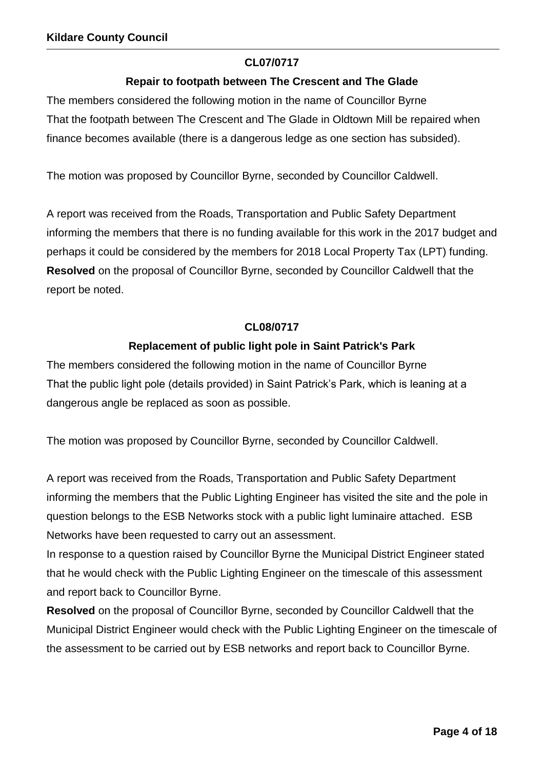### **CL07/0717**

### **Repair to footpath between The Crescent and The Glade**

The members considered the following motion in the name of Councillor Byrne That the footpath between The Crescent and The Glade in Oldtown Mill be repaired when finance becomes available (there is a dangerous ledge as one section has subsided).

The motion was proposed by Councillor Byrne, seconded by Councillor Caldwell.

A report was received from the Roads, Transportation and Public Safety Department informing the members that there is no funding available for this work in the 2017 budget and perhaps it could be considered by the members for 2018 Local Property Tax (LPT) funding. **Resolved** on the proposal of Councillor Byrne, seconded by Councillor Caldwell that the report be noted.

#### **CL08/0717**

### **Replacement of public light pole in Saint Patrick's Park**

The members considered the following motion in the name of Councillor Byrne That the public light pole (details provided) in Saint Patrick's Park, which is leaning at a dangerous angle be replaced as soon as possible.

The motion was proposed by Councillor Byrne, seconded by Councillor Caldwell.

A report was received from the Roads, Transportation and Public Safety Department informing the members that the Public Lighting Engineer has visited the site and the pole in question belongs to the ESB Networks stock with a public light luminaire attached. ESB Networks have been requested to carry out an assessment.

In response to a question raised by Councillor Byrne the Municipal District Engineer stated that he would check with the Public Lighting Engineer on the timescale of this assessment and report back to Councillor Byrne.

**Resolved** on the proposal of Councillor Byrne, seconded by Councillor Caldwell that the Municipal District Engineer would check with the Public Lighting Engineer on the timescale of the assessment to be carried out by ESB networks and report back to Councillor Byrne.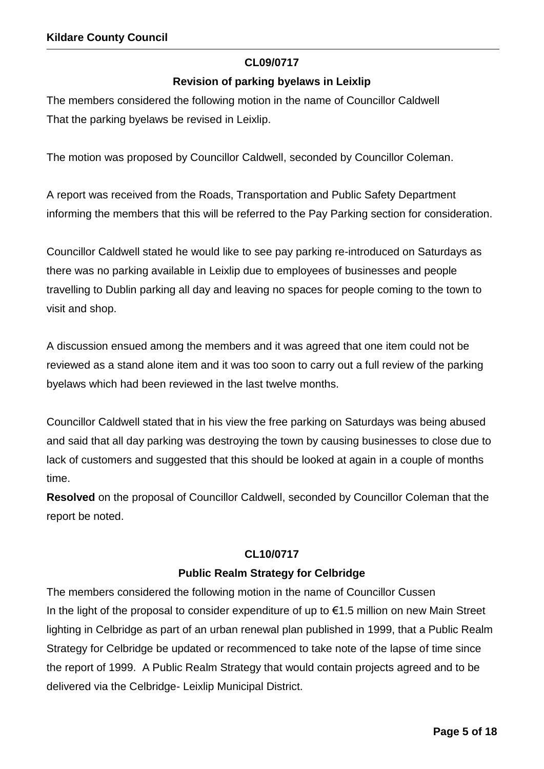### **CL09/0717**

### **Revision of parking byelaws in Leixlip**

The members considered the following motion in the name of Councillor Caldwell That the parking byelaws be revised in Leixlip.

The motion was proposed by Councillor Caldwell, seconded by Councillor Coleman.

A report was received from the Roads, Transportation and Public Safety Department informing the members that this will be referred to the Pay Parking section for consideration.

Councillor Caldwell stated he would like to see pay parking re-introduced on Saturdays as there was no parking available in Leixlip due to employees of businesses and people travelling to Dublin parking all day and leaving no spaces for people coming to the town to visit and shop.

A discussion ensued among the members and it was agreed that one item could not be reviewed as a stand alone item and it was too soon to carry out a full review of the parking byelaws which had been reviewed in the last twelve months.

Councillor Caldwell stated that in his view the free parking on Saturdays was being abused and said that all day parking was destroying the town by causing businesses to close due to lack of customers and suggested that this should be looked at again in a couple of months time.

**Resolved** on the proposal of Councillor Caldwell, seconded by Councillor Coleman that the report be noted.

### **CL10/0717**

### **Public Realm Strategy for Celbridge**

The members considered the following motion in the name of Councillor Cussen In the light of the proposal to consider expenditure of up to  $\epsilon$ 1.5 million on new Main Street lighting in Celbridge as part of an urban renewal plan published in 1999, that a Public Realm Strategy for Celbridge be updated or recommenced to take note of the lapse of time since the report of 1999. A Public Realm Strategy that would contain projects agreed and to be delivered via the Celbridge- Leixlip Municipal District.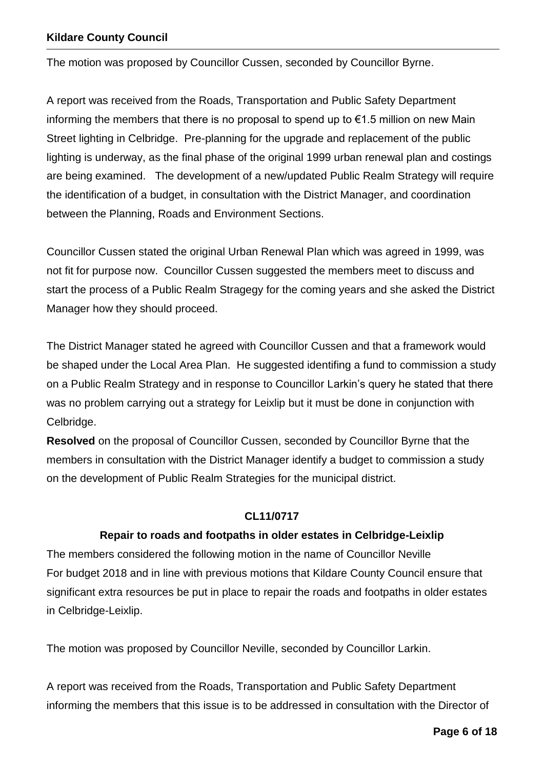The motion was proposed by Councillor Cussen, seconded by Councillor Byrne.

A report was received from the Roads, Transportation and Public Safety Department informing the members that there is no proposal to spend up to  $\epsilon$ 1.5 million on new Main Street lighting in Celbridge. Pre-planning for the upgrade and replacement of the public lighting is underway, as the final phase of the original 1999 urban renewal plan and costings are being examined. The development of a new/updated Public Realm Strategy will require the identification of a budget, in consultation with the District Manager, and coordination between the Planning, Roads and Environment Sections.

Councillor Cussen stated the original Urban Renewal Plan which was agreed in 1999, was not fit for purpose now. Councillor Cussen suggested the members meet to discuss and start the process of a Public Realm Stragegy for the coming years and she asked the District Manager how they should proceed.

The District Manager stated he agreed with Councillor Cussen and that a framework would be shaped under the Local Area Plan. He suggested identifing a fund to commission a study on a Public Realm Strategy and in response to Councillor Larkin's query he stated that there was no problem carrying out a strategy for Leixlip but it must be done in conjunction with Celbridge.

**Resolved** on the proposal of Councillor Cussen, seconded by Councillor Byrne that the members in consultation with the District Manager identify a budget to commission a study on the development of Public Realm Strategies for the municipal district.

#### **CL11/0717**

#### **Repair to roads and footpaths in older estates in Celbridge-Leixlip**

The members considered the following motion in the name of Councillor Neville For budget 2018 and in line with previous motions that Kildare County Council ensure that significant extra resources be put in place to repair the roads and footpaths in older estates in Celbridge-Leixlip.

The motion was proposed by Councillor Neville, seconded by Councillor Larkin.

A report was received from the Roads, Transportation and Public Safety Department informing the members that this issue is to be addressed in consultation with the Director of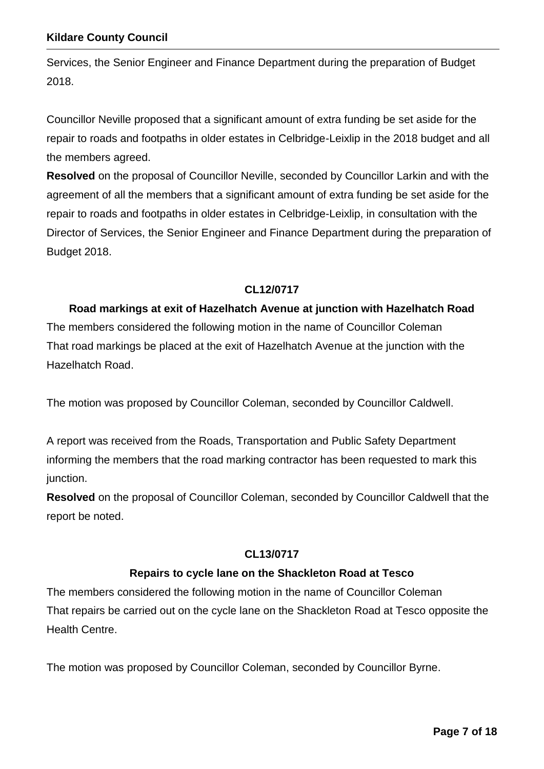Services, the Senior Engineer and Finance Department during the preparation of Budget 2018.

Councillor Neville proposed that a significant amount of extra funding be set aside for the repair to roads and footpaths in older estates in Celbridge-Leixlip in the 2018 budget and all the members agreed.

**Resolved** on the proposal of Councillor Neville, seconded by Councillor Larkin and with the agreement of all the members that a significant amount of extra funding be set aside for the repair to roads and footpaths in older estates in Celbridge-Leixlip, in consultation with the Director of Services, the Senior Engineer and Finance Department during the preparation of Budget 2018.

### **CL12/0717**

### **Road markings at exit of Hazelhatch Avenue at junction with Hazelhatch Road**

The members considered the following motion in the name of Councillor Coleman That road markings be placed at the exit of Hazelhatch Avenue at the junction with the Hazelhatch Road.

The motion was proposed by Councillor Coleman, seconded by Councillor Caldwell.

A report was received from the Roads, Transportation and Public Safety Department informing the members that the road marking contractor has been requested to mark this junction.

**Resolved** on the proposal of Councillor Coleman, seconded by Councillor Caldwell that the report be noted.

### **CL13/0717**

### **Repairs to cycle lane on the Shackleton Road at Tesco**

The members considered the following motion in the name of Councillor Coleman That repairs be carried out on the cycle lane on the Shackleton Road at Tesco opposite the Health Centre.

The motion was proposed by Councillor Coleman, seconded by Councillor Byrne.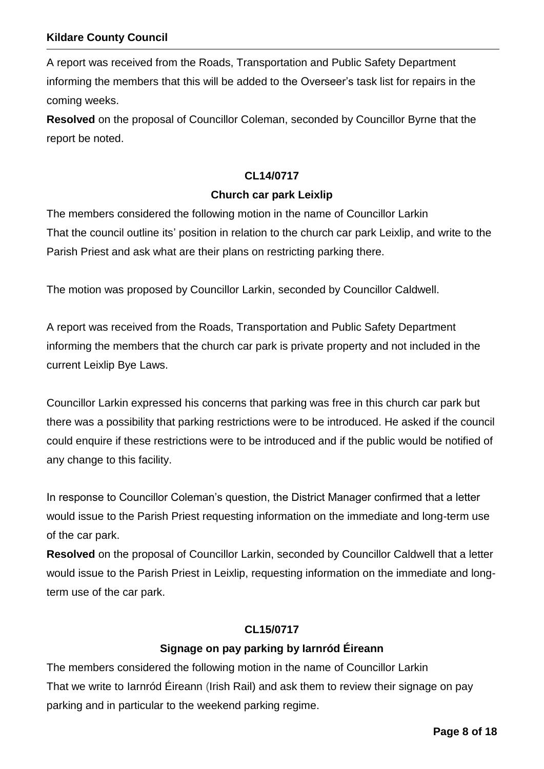A report was received from the Roads, Transportation and Public Safety Department informing the members that this will be added to the Overseer's task list for repairs in the coming weeks.

**Resolved** on the proposal of Councillor Coleman, seconded by Councillor Byrne that the report be noted.

#### **CL14/0717**

#### **Church car park Leixlip**

The members considered the following motion in the name of Councillor Larkin That the council outline its' position in relation to the church car park Leixlip, and write to the Parish Priest and ask what are their plans on restricting parking there.

The motion was proposed by Councillor Larkin, seconded by Councillor Caldwell.

A report was received from the Roads, Transportation and Public Safety Department informing the members that the church car park is private property and not included in the current Leixlip Bye Laws.

Councillor Larkin expressed his concerns that parking was free in this church car park but there was a possibility that parking restrictions were to be introduced. He asked if the council could enquire if these restrictions were to be introduced and if the public would be notified of any change to this facility.

In response to Councillor Coleman's question, the District Manager confirmed that a letter would issue to the Parish Priest requesting information on the immediate and long-term use of the car park.

**Resolved** on the proposal of Councillor Larkin, seconded by Councillor Caldwell that a letter would issue to the Parish Priest in Leixlip, requesting information on the immediate and longterm use of the car park.

#### **CL15/0717**

### **Signage on pay parking by Iarnród Éireann**

The members considered the following motion in the name of Councillor Larkin That we write to Iarnród Éireann (Irish Rail) and ask them to review their signage on pay parking and in particular to the weekend parking regime.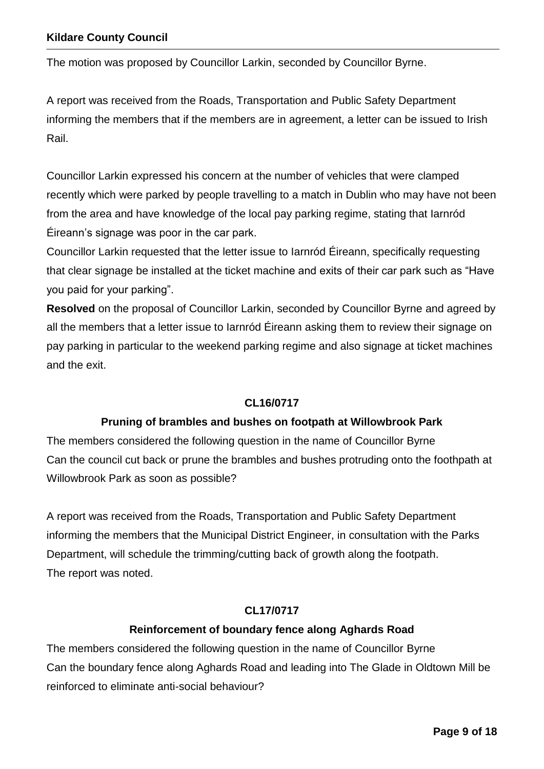The motion was proposed by Councillor Larkin, seconded by Councillor Byrne.

A report was received from the Roads, Transportation and Public Safety Department informing the members that if the members are in agreement, a letter can be issued to Irish Rail.

Councillor Larkin expressed his concern at the number of vehicles that were clamped recently which were parked by people travelling to a match in Dublin who may have not been from the area and have knowledge of the local pay parking regime, stating that Iarnród Éireann's signage was poor in the car park.

Councillor Larkin requested that the letter issue to Iarnród Éireann, specifically requesting that clear signage be installed at the ticket machine and exits of their car park such as "Have you paid for your parking".

**Resolved** on the proposal of Councillor Larkin, seconded by Councillor Byrne and agreed by all the members that a letter issue to Iarnród Éireann asking them to review their signage on pay parking in particular to the weekend parking regime and also signage at ticket machines and the exit.

### **CL16/0717**

### **Pruning of brambles and bushes on footpath at Willowbrook Park**

The members considered the following question in the name of Councillor Byrne Can the council cut back or prune the brambles and bushes protruding onto the foothpath at Willowbrook Park as soon as possible?

A report was received from the Roads, Transportation and Public Safety Department informing the members that the Municipal District Engineer, in consultation with the Parks Department, will schedule the trimming/cutting back of growth along the footpath. The report was noted.

### **CL17/0717**

### **Reinforcement of boundary fence along Aghards Road**

The members considered the following question in the name of Councillor Byrne Can the boundary fence along Aghards Road and leading into The Glade in Oldtown Mill be reinforced to eliminate anti-social behaviour?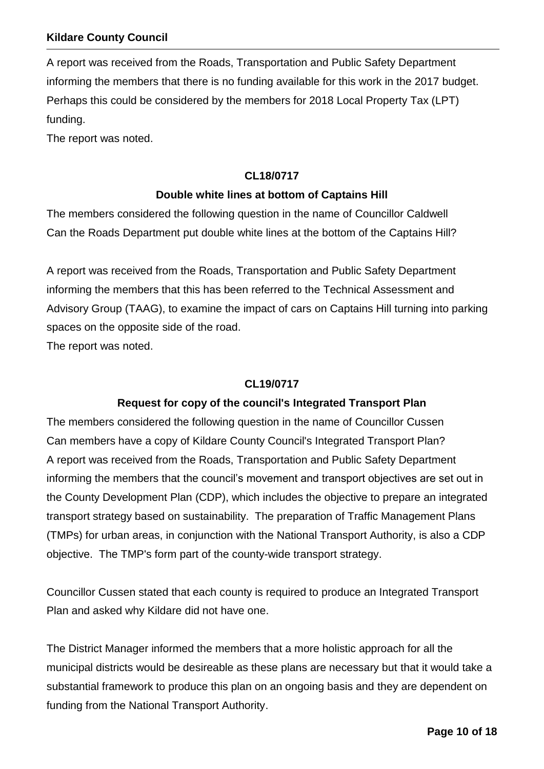A report was received from the Roads, Transportation and Public Safety Department informing the members that there is no funding available for this work in the 2017 budget. Perhaps this could be considered by the members for 2018 Local Property Tax (LPT) funding.

The report was noted.

#### **CL18/0717**

#### **Double white lines at bottom of Captains Hill**

The members considered the following question in the name of Councillor Caldwell Can the Roads Department put double white lines at the bottom of the Captains Hill?

A report was received from the Roads, Transportation and Public Safety Department informing the members that this has been referred to the Technical Assessment and Advisory Group (TAAG), to examine the impact of cars on Captains Hill turning into parking spaces on the opposite side of the road.

The report was noted.

#### **CL19/0717**

#### **Request for copy of the council's Integrated Transport Plan**

The members considered the following question in the name of Councillor Cussen Can members have a copy of Kildare County Council's Integrated Transport Plan? A report was received from the Roads, Transportation and Public Safety Department informing the members that the council's movement and transport objectives are set out in the County Development Plan (CDP), which includes the objective to prepare an integrated transport strategy based on sustainability. The preparation of Traffic Management Plans (TMPs) for urban areas, in conjunction with the National Transport Authority, is also a CDP objective. The TMP's form part of the county-wide transport strategy.

Councillor Cussen stated that each county is required to produce an Integrated Transport Plan and asked why Kildare did not have one.

The District Manager informed the members that a more holistic approach for all the municipal districts would be desireable as these plans are necessary but that it would take a substantial framework to produce this plan on an ongoing basis and they are dependent on funding from the National Transport Authority.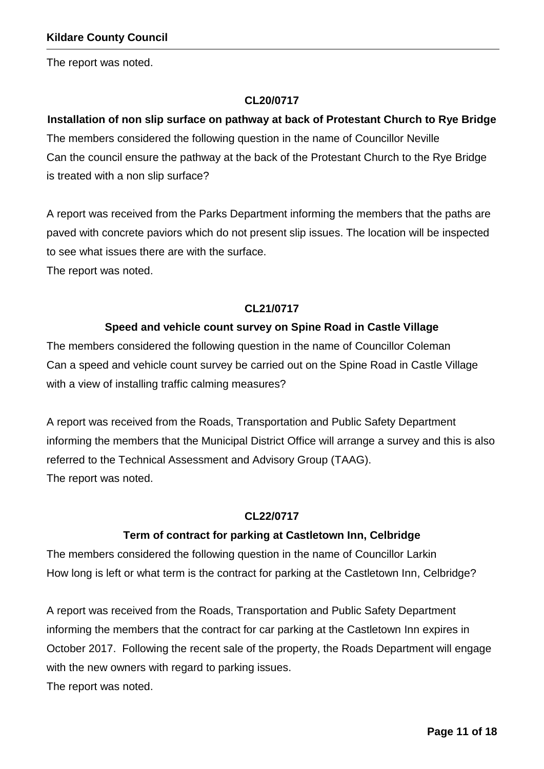The report was noted.

### **CL20/0717**

# **Installation of non slip surface on pathway at back of Protestant Church to Rye Bridge** The members considered the following question in the name of Councillor Neville Can the council ensure the pathway at the back of the Protestant Church to the Rye Bridge is treated with a non slip surface?

A report was received from the Parks Department informing the members that the paths are paved with concrete paviors which do not present slip issues. The location will be inspected to see what issues there are with the surface.

The report was noted.

### **CL21/0717**

### **Speed and vehicle count survey on Spine Road in Castle Village**

The members considered the following question in the name of Councillor Coleman Can a speed and vehicle count survey be carried out on the Spine Road in Castle Village with a view of installing traffic calming measures?

A report was received from the Roads, Transportation and Public Safety Department informing the members that the Municipal District Office will arrange a survey and this is also referred to the Technical Assessment and Advisory Group (TAAG). The report was noted.

### **CL22/0717**

### **Term of contract for parking at Castletown Inn, Celbridge**

The members considered the following question in the name of Councillor Larkin How long is left or what term is the contract for parking at the Castletown Inn, Celbridge?

A report was received from the Roads, Transportation and Public Safety Department informing the members that the contract for car parking at the Castletown Inn expires in October 2017. Following the recent sale of the property, the Roads Department will engage with the new owners with regard to parking issues.

The report was noted.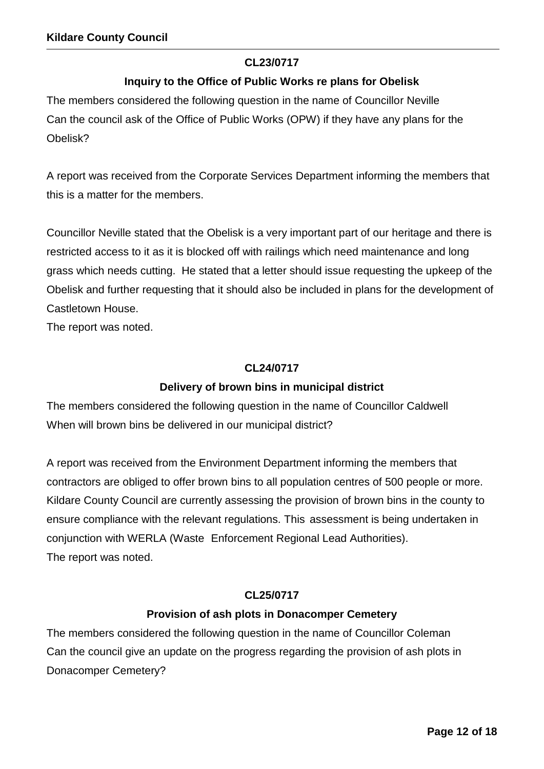### **CL23/0717**

### **Inquiry to the Office of Public Works re plans for Obelisk**

The members considered the following question in the name of Councillor Neville Can the council ask of the Office of Public Works (OPW) if they have any plans for the Obelisk?

A report was received from the Corporate Services Department informing the members that this is a matter for the members.

Councillor Neville stated that the Obelisk is a very important part of our heritage and there is restricted access to it as it is blocked off with railings which need maintenance and long grass which needs cutting. He stated that a letter should issue requesting the upkeep of the Obelisk and further requesting that it should also be included in plans for the development of Castletown House.

The report was noted.

#### **CL24/0717**

### **Delivery of brown bins in municipal district**

The members considered the following question in the name of Councillor Caldwell When will brown bins be delivered in our municipal district?

A report was received from the Environment Department informing the members that contractors are obliged to offer brown bins to all population centres of 500 people or more. Kildare County Council are currently assessing the provision of brown bins in the county to ensure compliance with the relevant regulations. This assessment is being undertaken in conjunction with WERLA (Waste Enforcement Regional Lead Authorities). The report was noted.

### **CL25/0717**

### **Provision of ash plots in Donacomper Cemetery**

The members considered the following question in the name of Councillor Coleman Can the council give an update on the progress regarding the provision of ash plots in Donacomper Cemetery?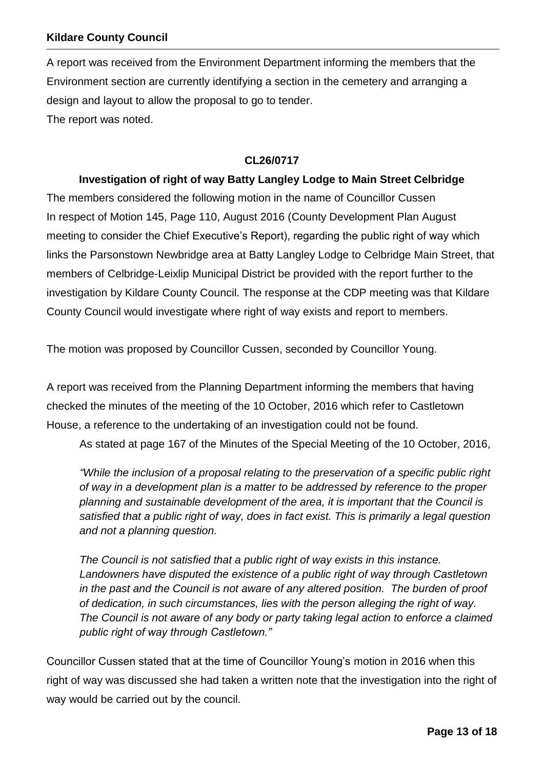A report was received from the Environment Department informing the members that the Environment section are currently identifying a section in the cemetery and arranging a design and layout to allow the proposal to go to tender. The report was noted.

#### **CL26/0717**

### **Investigation of right of way Batty Langley Lodge to Main Street Celbridge**

The members considered the following motion in the name of Councillor Cussen In respect of Motion 145, Page 110, August 2016 (County Development Plan August meeting to consider the Chief Executive's Report), regarding the public right of way which links the Parsonstown Newbridge area at Batty Langley Lodge to Celbridge Main Street, that members of Celbridge-Leixlip Municipal District be provided with the report further to the investigation by Kildare County Council. The response at the CDP meeting was that Kildare County Council would investigate where right of way exists and report to members.

The motion was proposed by Councillor Cussen, seconded by Councillor Young.

A report was received from the Planning Department informing the members that having checked the minutes of the meeting of the 10 October, 2016 which refer to Castletown House, a reference to the undertaking of an investigation could not be found.

As stated at page 167 of the Minutes of the Special Meeting of the 10 October, 2016,

*"While the inclusion of a proposal relating to the preservation of a specific public right of way in a development plan is a matter to be addressed by reference to the proper planning and sustainable development of the area, it is important that the Council is satisfied that a public right of way, does in fact exist. This is primarily a legal question and not a planning question.* 

*The Council is not satisfied that a public right of way exists in this instance. Landowners have disputed the existence of a public right of way through Castletown in the past and the Council is not aware of any altered position. The burden of proof of dedication, in such circumstances, lies with the person alleging the right of way. The Council is not aware of any body or party taking legal action to enforce a claimed public right of way through Castletown."*

Councillor Cussen stated that at the time of Councillor Young's motion in 2016 when this right of way was discussed she had taken a written note that the investigation into the right of way would be carried out by the council.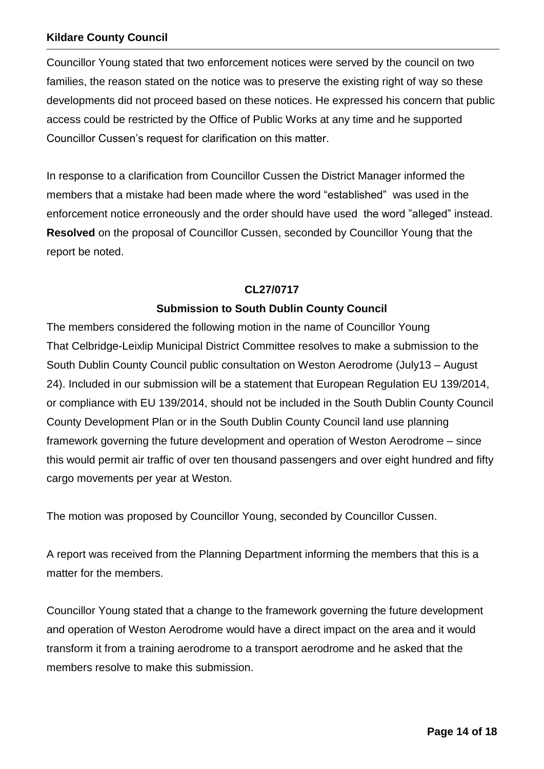Councillor Young stated that two enforcement notices were served by the council on two families, the reason stated on the notice was to preserve the existing right of way so these developments did not proceed based on these notices. He expressed his concern that public access could be restricted by the Office of Public Works at any time and he supported Councillor Cussen's request for clarification on this matter.

In response to a clarification from Councillor Cussen the District Manager informed the members that a mistake had been made where the word "established" was used in the enforcement notice erroneously and the order should have used the word "alleged" instead. **Resolved** on the proposal of Councillor Cussen, seconded by Councillor Young that the report be noted.

### **CL27/0717**

### **Submission to South Dublin County Council**

The members considered the following motion in the name of Councillor Young That Celbridge-Leixlip Municipal District Committee resolves to make a submission to the South Dublin County Council public consultation on Weston Aerodrome (July13 – August 24). Included in our submission will be a statement that European Regulation EU 139/2014, or compliance with EU 139/2014, should not be included in the South Dublin County Council County Development Plan or in the South Dublin County Council land use planning framework governing the future development and operation of Weston Aerodrome – since this would permit air traffic of over ten thousand passengers and over eight hundred and fifty cargo movements per year at Weston.

The motion was proposed by Councillor Young, seconded by Councillor Cussen.

A report was received from the Planning Department informing the members that this is a matter for the members.

Councillor Young stated that a change to the framework governing the future development and operation of Weston Aerodrome would have a direct impact on the area and it would transform it from a training aerodrome to a transport aerodrome and he asked that the members resolve to make this submission.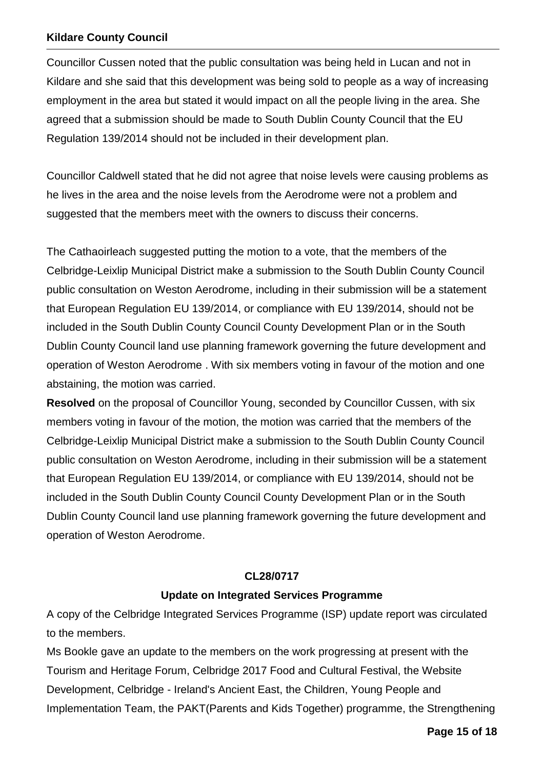Councillor Cussen noted that the public consultation was being held in Lucan and not in Kildare and she said that this development was being sold to people as a way of increasing employment in the area but stated it would impact on all the people living in the area. She agreed that a submission should be made to South Dublin County Council that the EU Regulation 139/2014 should not be included in their development plan.

Councillor Caldwell stated that he did not agree that noise levels were causing problems as he lives in the area and the noise levels from the Aerodrome were not a problem and suggested that the members meet with the owners to discuss their concerns.

The Cathaoirleach suggested putting the motion to a vote, that the members of the Celbridge-Leixlip Municipal District make a submission to the South Dublin County Council public consultation on Weston Aerodrome, including in their submission will be a statement that European Regulation EU 139/2014, or compliance with EU 139/2014, should not be included in the South Dublin County Council County Development Plan or in the South Dublin County Council land use planning framework governing the future development and operation of Weston Aerodrome . With six members voting in favour of the motion and one abstaining, the motion was carried.

**Resolved** on the proposal of Councillor Young, seconded by Councillor Cussen, with six members voting in favour of the motion, the motion was carried that the members of the Celbridge-Leixlip Municipal District make a submission to the South Dublin County Council public consultation on Weston Aerodrome, including in their submission will be a statement that European Regulation EU 139/2014, or compliance with EU 139/2014, should not be included in the South Dublin County Council County Development Plan or in the South Dublin County Council land use planning framework governing the future development and operation of Weston Aerodrome.

### **CL28/0717**

### **Update on Integrated Services Programme**

A copy of the Celbridge Integrated Services Programme (ISP) update report was circulated to the members.

Ms Bookle gave an update to the members on the work progressing at present with the Tourism and Heritage Forum, Celbridge 2017 Food and Cultural Festival, the Website Development, Celbridge - Ireland's Ancient East, the Children, Young People and Implementation Team, the PAKT(Parents and Kids Together) programme, the Strengthening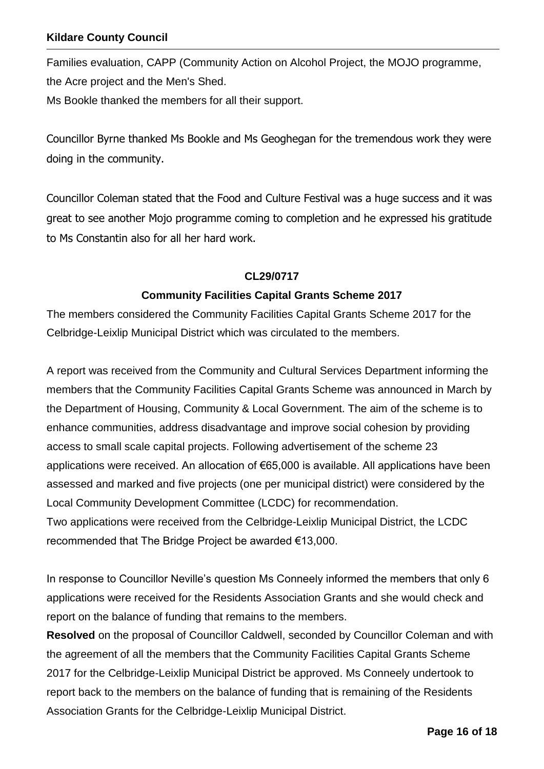Families evaluation, CAPP (Community Action on Alcohol Project, the MOJO programme, the Acre project and the Men's Shed. Ms Bookle thanked the members for all their support.

Councillor Byrne thanked Ms Bookle and Ms Geoghegan for the tremendous work they were doing in the community.

Councillor Coleman stated that the Food and Culture Festival was a huge success and it was great to see another Mojo programme coming to completion and he expressed his gratitude to Ms Constantin also for all her hard work.

### **CL29/0717**

### **Community Facilities Capital Grants Scheme 2017**

The members considered the Community Facilities Capital Grants Scheme 2017 for the Celbridge-Leixlip Municipal District which was circulated to the members.

A report was received from the Community and Cultural Services Department informing the members that the Community Facilities Capital Grants Scheme was announced in March by the Department of Housing, Community & Local Government. The aim of the scheme is to enhance communities, address disadvantage and improve social cohesion by providing access to small scale capital projects. Following advertisement of the scheme 23 applications were received. An allocation of €65,000 is available. All applications have been assessed and marked and five projects (one per municipal district) were considered by the Local Community Development Committee (LCDC) for recommendation. Two applications were received from the Celbridge-Leixlip Municipal District, the LCDC recommended that The Bridge Project be awarded €13,000.

In response to Councillor Neville's question Ms Conneely informed the members that only 6 applications were received for the Residents Association Grants and she would check and report on the balance of funding that remains to the members.

**Resolved** on the proposal of Councillor Caldwell, seconded by Councillor Coleman and with the agreement of all the members that the Community Facilities Capital Grants Scheme 2017 for the Celbridge-Leixlip Municipal District be approved. Ms Conneely undertook to report back to the members on the balance of funding that is remaining of the Residents Association Grants for the Celbridge-Leixlip Municipal District.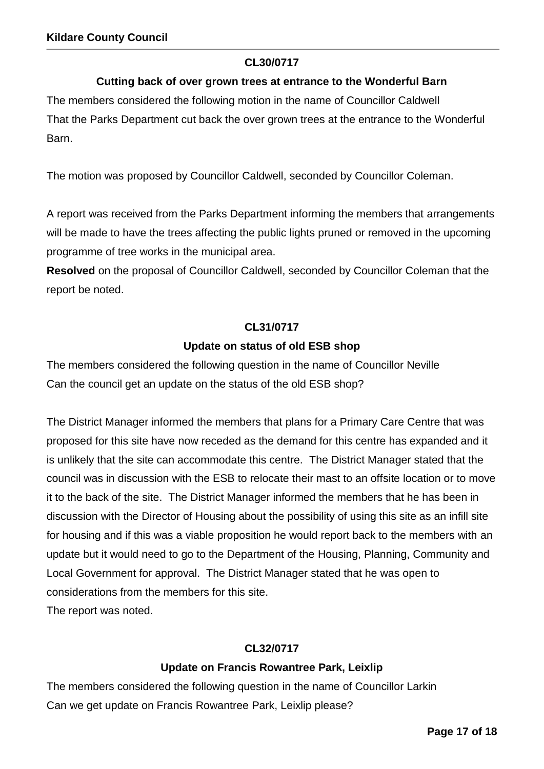### **CL30/0717**

### **Cutting back of over grown trees at entrance to the Wonderful Barn**

The members considered the following motion in the name of Councillor Caldwell That the Parks Department cut back the over grown trees at the entrance to the Wonderful Barn.

The motion was proposed by Councillor Caldwell, seconded by Councillor Coleman.

A report was received from the Parks Department informing the members that arrangements will be made to have the trees affecting the public lights pruned or removed in the upcoming programme of tree works in the municipal area.

**Resolved** on the proposal of Councillor Caldwell, seconded by Councillor Coleman that the report be noted.

### **CL31/0717**

### **Update on status of old ESB shop**

The members considered the following question in the name of Councillor Neville Can the council get an update on the status of the old ESB shop?

The District Manager informed the members that plans for a Primary Care Centre that was proposed for this site have now receded as the demand for this centre has expanded and it is unlikely that the site can accommodate this centre. The District Manager stated that the council was in discussion with the ESB to relocate their mast to an offsite location or to move it to the back of the site. The District Manager informed the members that he has been in discussion with the Director of Housing about the possibility of using this site as an infill site for housing and if this was a viable proposition he would report back to the members with an update but it would need to go to the Department of the Housing, Planning, Community and Local Government for approval. The District Manager stated that he was open to considerations from the members for this site.

The report was noted.

### **CL32/0717**

### **Update on Francis Rowantree Park, Leixlip**

The members considered the following question in the name of Councillor Larkin Can we get update on Francis Rowantree Park, Leixlip please?